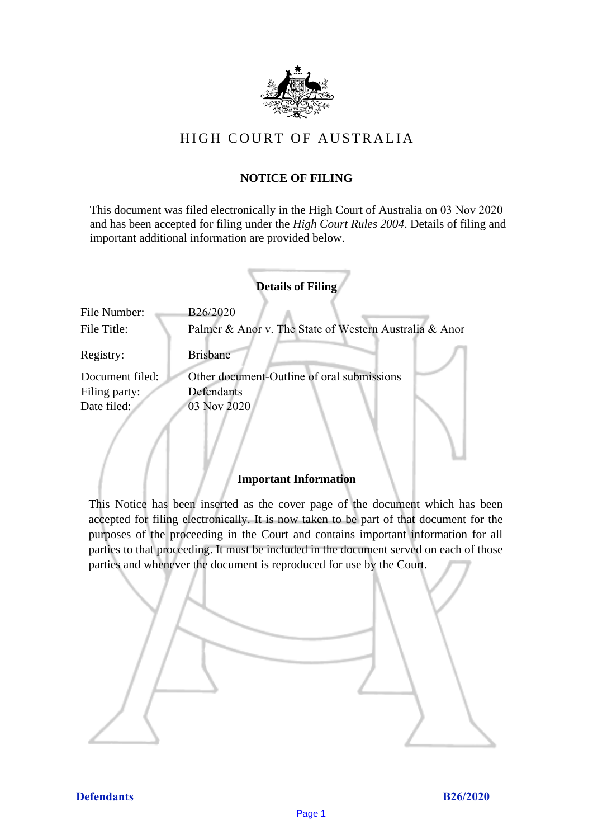

# HIGH COURT OF AU STRALIA HIGH COURT OF AUSTRALIA

### **NOTICE OF FILING** NOTICE OF FILING

This document was filed electronically in the High Court of Australia on 03 Nov 2020 This document was filed electronically in the High Court of Australia 20 and has been accepted for filing under the *High Court Rules 2004*. Details of filing and important additional information are provided below. important additional information are provided below.

|                             | <b>Details of Filing</b>                                           |
|-----------------------------|--------------------------------------------------------------------|
| File Number:<br>File Title: | B26/2020<br>Palmer & Anor v. The State of Western Australia & Anor |
| Registry:                   | <b>Brisbane</b>                                                    |
| Document filed:             | Other document-Outline of oral submissions                         |
| Filing party:               | Defendants                                                         |
| Date filed:                 | 03 Nov 2020                                                        |
|                             |                                                                    |

### **Important Information** Important Information

This Notice has been inserted as the cover page of the document which has been accepted for filing electronically. It is now taken to be part of that document for the purposes of the proceeding in the Court and contains important information for all parties to that proceeding. It must be included in the document served on each of those parties and whenever the document is reproduced for use by the Court. parties and whenever the document is reproduced for use by the Court

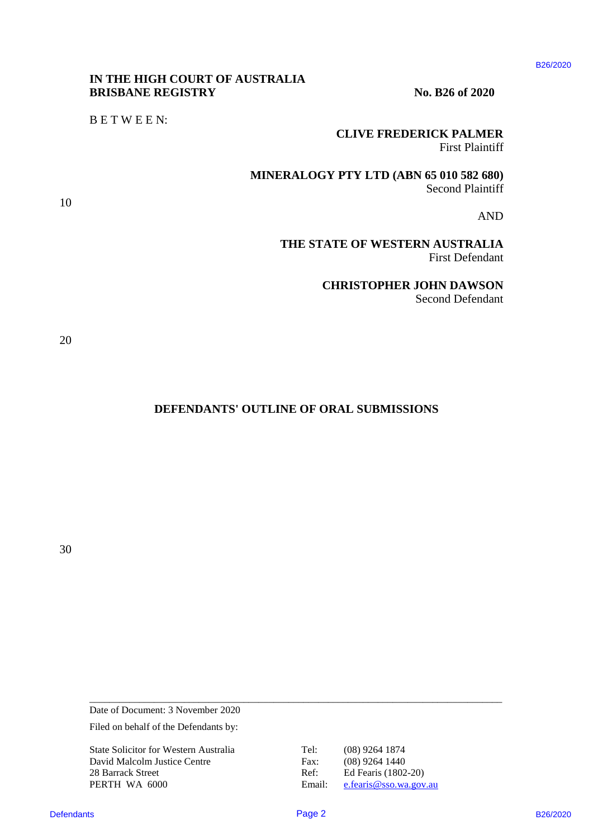#### B26/2020

#### **IN THE HIGH COURT OF AUSTRALIA** IN THE HIGH COURT OF AUSTRALIA **BRISBANE REGISTRY** No. B26 of 2020

B E T W E E N: BETWEEN:

### **CLIVE FREDERICK PALMER** CLIVE FREDERICK PALMER

First Plaintiff First Plaintiff

**MINERALOGY PTY LTD (ABN 65 010 582 680)** MINERALOGY PTY LTD (ABN 65 010 582 680) Second Plaintiff Second Plaintiff**DEFENDANTS OF OUR STATE OF ONE SET AND RESIDENCE AND RESIDENCE IN A REAL PROPERTY.**<br>
THE STATE OF WESTERN ALGO SEED AND INTERFERENCE IN AND **SEED AND SEED AND THE STATE OF WESTERN AUGUST (AND SEED ASSESSED)**<br>
THE STATE O

AND AND

**THE STATE OF WESTERN AUSTRALIA**  THE STATE OF WESTERN AUSTRALIA First Defendant First Defendant

> **CHRISTOPHER JOHN DAWSON** CHRISTOPHER JOHN DAWSON Second Defendant Second Defendant

20 20

10 10

#### **DEFENDANTS' OUTLINE OF ORAL SUBMISSIONS**  DEFENDANTS' OUTLINE OF ORAL SUBMISSIONS

30 30

Date of Document: 3 November 2020 Date of Document: <sup>3</sup> November 2020

Filed on behalf of the Defendants by:

State Solicitor for Western Australia Tel: (08) 9264 1874 State Solicitor for Western Australia Tel: (08) 9264 1874 David Malcolm Justice Centre Fax: (08) 9264 1440 28 Barrack Street Ref: Ed Fearis (1802-20) PERTH WA 6000 Email: [e.fearis@sso.wa.gov.au](mailto:e.fearis@sso.wa.gov.au)

\_\_\_\_\_\_\_\_\_\_\_\_\_\_\_\_\_\_\_\_\_\_\_\_\_\_\_\_\_\_\_\_\_\_\_\_\_\_\_\_\_\_\_\_\_\_\_\_\_\_\_\_\_\_\_\_\_\_\_\_\_\_\_\_\_\_\_\_\_\_\_\_\_\_\_\_\_\_\_\_\_\_\_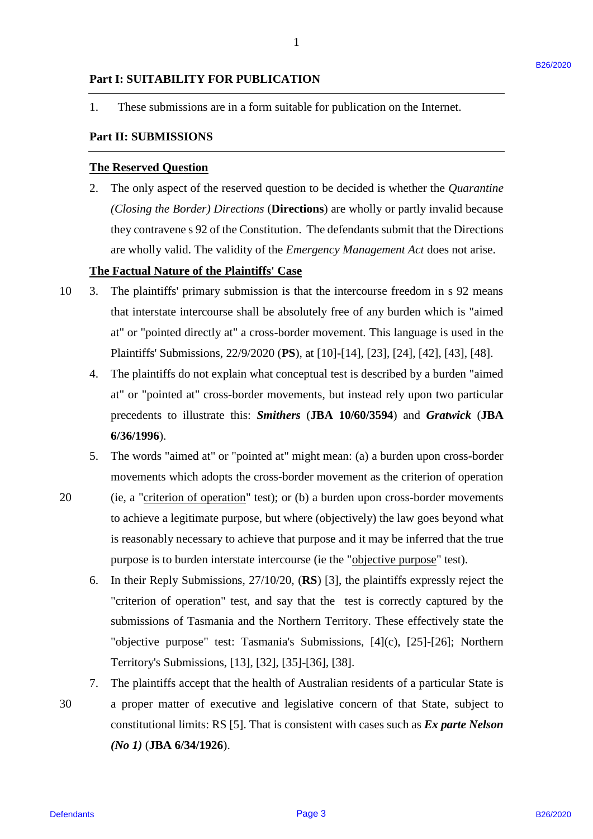#### **Part I: SUITABILITY FOR PUBLICATION** Part I: SUITABILITY FOR PUBLICATION

1. These submissions are in a form suitable for publication on the Internet. 1. These submissions are in <sup>a</sup> form suitable for publication on the Internet.

1

## **Part II: SUBMISSIONS** Part Il: SUBMISSIONS

#### **The Reserved Question** The Reserved Question

2. The only aspect of the reserved question to be decided is whether the *Quarantine*  2. The only aspect of the reserved question to be decided is whether the Quarantine *(Closing the Border) Directions* (**Directions**) are wholly or partly invalid because (Closing the Border) Directions (Directions) are wholly or partly invalid because they contravene s 92 of the Constitution. The defendants submit that the Directions they contravene <sup>s</sup> 92 of the Constitution. The defendants submit that the Directions are wholly valid. The validity of the *Emergency Management Act* does not arise. are wholly valid. The validity of the Emergency Management Act does not arise.

#### **The Factual Nature of the Plaintiffs' Case** The Factual Nature of the Plaintiffs' Case

- 10 3. The plaintiffs' primary submission is that the intercourse freedom in s 92 means The plaintiffs' primary submission is that the intercourse freedom in <sup>s</sup> 92 means that interstate intercourse shall be absolutely free of any burden which is "aimed that interstate intercourse shall be absolutely free of any burden which is "aimed at" or "pointed directly at" a cross-border movement. This language is used in the at" or "pointed directly at" <sup>a</sup> cross-border movement. This language is used in the Plaintiffs' Submissions, 22/9/2020 (**PS**), at [10]-[14], [23], [24], [42], [43], [48]. Plaintiffs' Submissions, 22/9/2020 (PS), at [10]-[14], [23], [24], [42], [43], [48].  $10 - 3.$ 
	- 4. The plaintiffs do not explain what conceptual test is described by a burden "aimed The plaintiffs do not explain what conceptual test is described by <sup>a</sup> burden "aimed at" or "pointed at" cross-border movements, but instead rely upon two particular at" or "pointed at" cross-border movements, but instead rely upon two particular precedents to illustrate this: *Smithers* (**JBA 10/60/3594**) and *Gratwick* (**JBA**  precedents to illustrate this: Smithers (JBA 10/60/3594) and Gratwick (JBA **6/36/1996**). 6/36/1996). 4.
	- 5. The words "aimed at" or "pointed at" might mean: (a) a burden upon cross-border 5. The words "aimed at" or "pointed at" might mean: (a) <sup>a</sup> burden upon cross-border movements which adopts the cross-border movement as the criterion of operation movements which adopts the cross-border movement as the criterion of operation
- 20 (ie, a "criterion of operation" test); or (b) a burden upon cross-border movements to achieve a legitimate purpose, but where (objectively) the law goes beyond what to achieve <sup>a</sup> legitimate purpose, but where (objectively) the law goes beyond what is reasonably necessary to achieve that purpose and it may be inferred that the true is reasonably necessary to achieve that purpose and it may be inferred that the true purpose is to burden interstate intercourse (ie the "objective purpose" test). 20
- 6. In their Reply Submissions, 27/10/20, (**RS**) [3], the plaintiffs expressly reject the In their Reply Submissions, 27/10/20, (RS) [3], the plaintiffs expressly reject the "criterion of operation" test, and say that the test is correctly captured by the "criterion of operation" test, and say that the test is correctly captured by the submissions of Tasmania and the Northern Territory. These effectively state the submissions of Tasmania and the Northern Territory. These effectively state the "objective purpose" test: Tasmania's Submissions, [4](c), [25]-[26]; Northern "objective purpose" test: Tasmania's Submissions, [4](c), [25]-[26]; Northern Territory's Submissions, [13], [32], [35]-[36], [38]. Territory's Submissions, [13], [32], [35]-[36], [38]. Part 1: SUPENHIERTY FOR PUBLICATION<br>
1. These submissions are in a form subhole for publication on the Internet,<br>
2. The only aspect of the reserved question to be docided is whether the *Queroniter*<br>
2. The only aspect o 6.
	- 7. The plaintiffs accept that the health of Australian residents of a particular State is The plaintiffs accept that the health of Australian residents of <sup>a</sup> particular State is 30 a proper matter of executive and legislative concern of that State, subject to a proper matter of executive and legislative concern of that State, subject to constitutional limits: RS [5]. That is consistent with cases such as *Ex parte Nelson*  constitutional limits: RS [5]. That is consistent with cases such as Ex parte Nelson *(No 1)* (**JBA 6/34/1926**). (No 1) (SBA 6/34/1926). 7. 30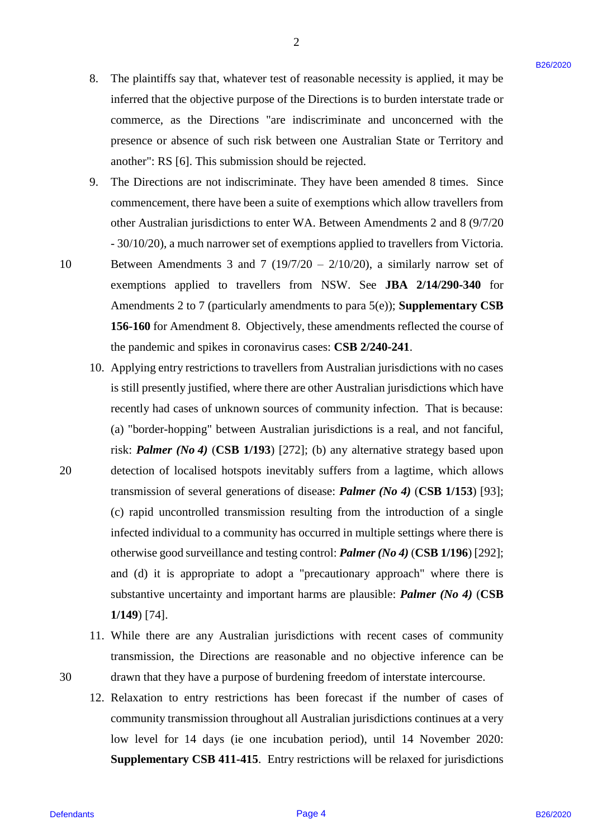8. The plaintiffs say that, whatever test of reasonable necessity is applied, it may be The plaintiffs say that, whatever test of reasonable necessity is applied, it may be inferred that the objective purpose of the Directions is to burden interstate trade or inferred that the objective purpose of the Directions is to burden interstate trade or commerce, as the Directions "are indiscriminate and unconcerned with the commerce, as the Directions "are indiscriminate and unconcerned with the presence or absence of such risk between one Australian State or Territory and presence or absence of such risk between one Australian State or Territory and another": RS [6]. This submission should be rejected. another": RS [6]. This submission should be rejected. 8.

2

9. The Directions are not indiscriminate. They have been amended 8 times. Since The Directions are not indiscriminate. They have been amended <sup>8</sup> times. Since commencement, there have been a suite of exemptions which allow travellers from commencement, there have been <sup>a</sup> suite of exemptions which allow travellers from other Australian jurisdictions to enter WA. Between Amendments 2 and 8 (9/7/20 other Australian jurisdictions to enter WA. Between Amendments 2 and <sup>8</sup> (9/7/20 - 30/10/20), a much narrower set of exemptions applied to travellers from Victoria. - 30/10/20), <sup>a</sup> much narrower set of exemptions applied to travellers from Victoria. 9.

10 Between Amendments 3 and 7 (19/7/20 – 2/10/20), a similarly narrow set of Between Amendments <sup>3</sup> and 7 (19/7/20 — 2/10/20), a similarly narrow set of exemptions applied to travellers from NSW. See **JBA 2/14/290-340** for exemptions applied to travellers from NSW. See JBA 2/14/290-340 for Amendments 2 to 7 (particularly amendments to para 5(e)); **Supplementary CSB** Amendments 2 to <sup>7</sup> (particularly amendments to para 5(e)); Supplementary CSB **156-160** for Amendment 8. Objectively, these amendments reflected the course of 156-160 for Amendment 8. Objectively, these amendments reflected the course of the pandemic and spikes in coronavirus cases: **CSB 2/240-241**. the pandemic and spikes in coronavirus cases: CSB 2/240-241. 10

- 10. Applying entry restrictions to travellers from Australian jurisdictions with no cases 10. Applying entry restrictions to travellers from Australian jurisdictions with no cases is still presently justified, where there are other Australian jurisdictions which have recently had cases of unknown sources of community infection. That is because: recently had cases of unknown sources of community infection. That is because: (a) "border-hopping" between Australian jurisdictions is a real, and not fanciful, (a) "border-hopping" between Australian jurisdictions is <sup>a</sup> real, and not fanciful, risk: **Palmer** (No 4) (CSB 1/193) [272]; (b) any alternative strategy based upon 20 detection of localised hotspots inevitably suffers from a lagtime, which allows detection of localised hotspots inevitably suffers from <sup>a</sup> lagtime, which allows transmission of several generations of disease: *Palmer (No 4)* (**CSB 1/153**) [93]; transmission of several generations of disease: Palmer (No 4) (CSB 1/153) [93]; (c) rapid uncontrolled transmission resulting from the introduction of a single (c) rapid uncontrolled transmission resulting from the introduction of <sup>a</sup> single infected individual to a community has occurred in multiple settings where there is infected individual to <sup>a</sup> community has occurred in multiple settings where there is otherwise good surveillance and testing control: **Palmer** (No 4) (CSB 1/196) [292]; and (d) it is appropriate to adopt a "precautionary approach" where there is and (d) it is appropriate to adopt <sup>a</sup> "precautionary approach" where there is substantive uncertainty and important harms are plausible: *Palmer (No 4)* (**CSB**  substantive uncertainty and important harms are plausible: Palmer (No 4) (CSB **1/149**) [74]. 1/149) [74]. 8. The plaintifs say that whatever test of reasonable measonly is applied, it may be interested that to by<br>by the place of the Directions is to burely a contrast to the place converted of<br>the processes of such that the pr
	- 11. While there are any Australian jurisdictions with recent cases of community 11. While there are any Australian jurisdictions with recent cases of community transmission, the Directions are reasonable and no objective inference can be transmission, the Directions are reasonable and no objective inference can be 30 drawn that they have a purpose of burdening freedom of interstate intercourse. drawn that they have <sup>a</sup> purpose of burdening freedom of interstate intercourse.
		- 12. Relaxation to entry restrictions has been forecast if the number of cases of 12. Relaxation to entry restrictions has been forecast if the number of cases of community transmission throughout all Australian jurisdictions continues at a very community transmission throughout all Australian jurisdictions continues at <sup>a</sup> very low level for 14 days (ie one incubation period), until 14 November 2020: low level for 14 days (ie one incubation period), until 14 November 2020: Supplementary CSB 411-415. Entry restrictions will be relaxed for jurisdictions

20